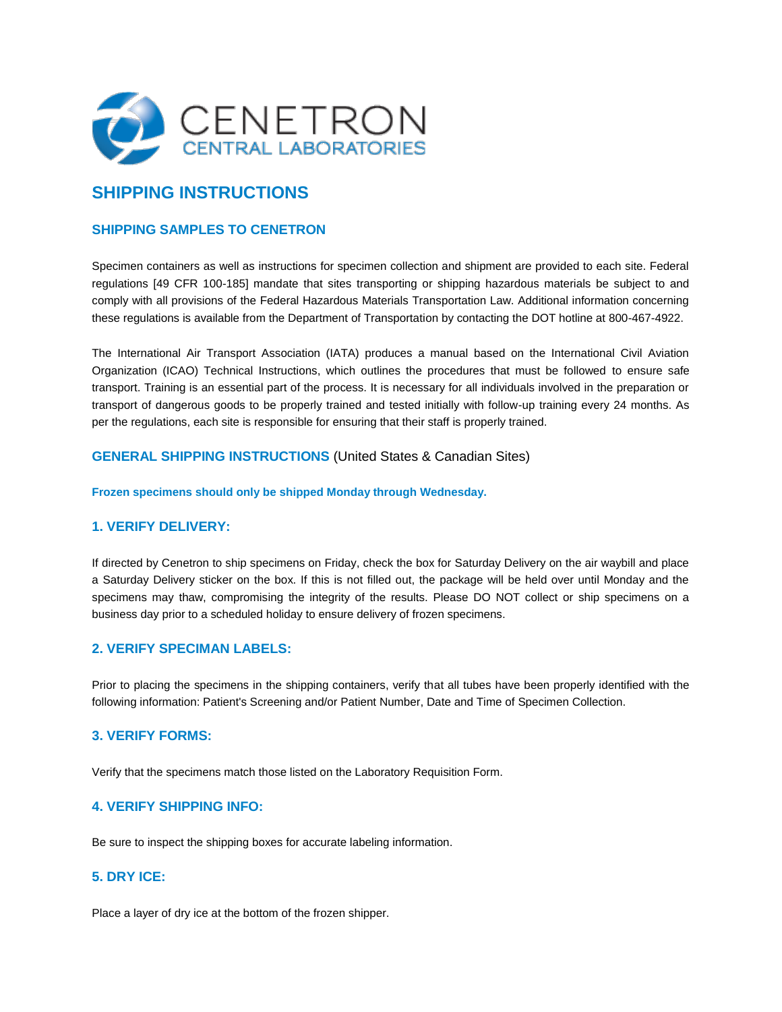

# **SHIPPING INSTRUCTIONS**

# **SHIPPING SAMPLES TO CENETRON**

Specimen containers as well as instructions for specimen collection and shipment are provided to each site. Federal regulations [49 CFR 100-185] mandate that sites transporting or shipping hazardous materials be subject to and comply with all provisions of the Federal Hazardous Materials Transportation Law. Additional information concerning these regulations is available from the Department of Transportation by contacting the DOT hotline at 800-467-4922.

The International Air Transport Association (IATA) produces a manual based on the International Civil Aviation Organization (ICAO) Technical Instructions, which outlines the procedures that must be followed to ensure safe transport. Training is an essential part of the process. It is necessary for all individuals involved in the preparation or transport of dangerous goods to be properly trained and tested initially with follow-up training every 24 months. As per the regulations, each site is responsible for ensuring that their staff is properly trained.

# **GENERAL SHIPPING INSTRUCTIONS** (United States & Canadian Sites)

**Frozen specimens should only be shipped Monday through Wednesday.**

## **1. VERIFY DELIVERY:**

If directed by Cenetron to ship specimens on Friday, check the box for Saturday Delivery on the air waybill and place a Saturday Delivery sticker on the box. If this is not filled out, the package will be held over until Monday and the specimens may thaw, compromising the integrity of the results. Please DO NOT collect or ship specimens on a business day prior to a scheduled holiday to ensure delivery of frozen specimens.

# **2. VERIFY SPECIMAN LABELS:**

Prior to placing the specimens in the shipping containers, verify that all tubes have been properly identified with the following information: Patient's Screening and/or Patient Number, Date and Time of Specimen Collection.

## **3. VERIFY FORMS:**

Verify that the specimens match those listed on the Laboratory Requisition Form.

## **4. VERIFY SHIPPING INFO:**

Be sure to inspect the shipping boxes for accurate labeling information.

## **5. DRY ICE:**

Place a layer of dry ice at the bottom of the frozen shipper.